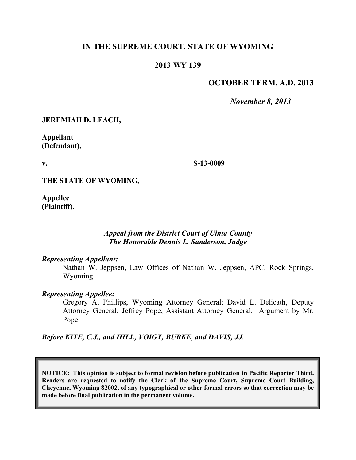# **IN THE SUPREME COURT, STATE OF WYOMING**

## **2013 WY 139**

## **OCTOBER TERM, A.D. 2013**

*November 8, 2013*

**JEREMIAH D. LEACH,**

**Appellant (Defendant),**

**v.**

**S-13-0009**

**THE STATE OF WYOMING,**

**Appellee (Plaintiff).**

### *Appeal from the District Court of Uinta County The Honorable Dennis L. Sanderson, Judge*

#### *Representing Appellant:*

Nathan W. Jeppsen, Law Offices of Nathan W. Jeppsen, APC, Rock Springs, Wyoming

#### *Representing Appellee:*

Gregory A. Phillips, Wyoming Attorney General; David L. Delicath, Deputy Attorney General; Jeffrey Pope, Assistant Attorney General. Argument by Mr. Pope.

*Before KITE, C.J., and HILL, VOIGT, BURKE, and DAVIS, JJ.*

**NOTICE: This opinion is subject to formal revision before publication in Pacific Reporter Third. Readers are requested to notify the Clerk of the Supreme Court, Supreme Court Building, Cheyenne, Wyoming 82002, of any typographical or other formal errors so that correction may be made before final publication in the permanent volume.**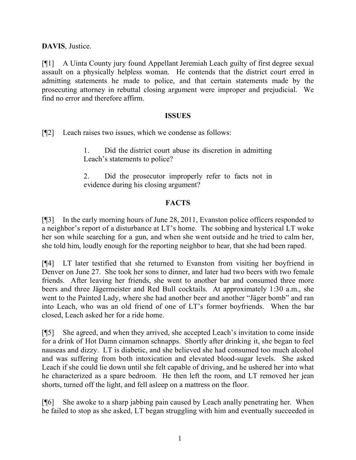**DAVIS**, Justice.

[¶1] A Uinta County jury found Appellant Jeremiah Leach guilty of first degree sexual assault on a physically helpless woman. He contends that the district court erred in admitting statements he made to police, and that certain statements made by the prosecuting attorney in rebuttal closing argument were improper and prejudicial. We find no error and therefore affirm.

### **ISSUES**

[¶2] Leach raises two issues, which we condense as follows:

1. Did the district court abuse its discretion in admitting Leach's statements to police?

2. Did the prosecutor improperly refer to facts not in evidence during his closing argument?

# **FACTS**

[¶3] In the early morning hours of June 28, 2011, Evanston police officers responded to a neighbor's report of a disturbance at LT's home. The sobbing and hysterical LT woke her son while searching for a gun, and when she went outside and he tried to calm her, she told him, loudly enough for the reporting neighbor to hear, that she had been raped.

[¶4] LT later testified that she returned to Evanston from visiting her boyfriend in Denver on June 27. She took her sons to dinner, and later had two beers with two female friends. After leaving her friends, she went to another bar and consumed three more beers and three Jägermeister and Red Bull cocktails. At approximately 1:30 a.m., she went to the Painted Lady, where she had another beer and another "Jäger bomb" and ran into Leach, who was an old friend of one of LT's former boyfriends. When the bar closed, Leach asked her for a ride home.

[¶5] She agreed, and when they arrived, she accepted Leach's invitation to come inside for a drink of Hot Damn cinnamon schnapps. Shortly after drinking it, she began to feel nauseas and dizzy. LT is diabetic, and she believed she had consumed too much alcohol and was suffering from both intoxication and elevated blood-sugar levels. She asked Leach if she could lie down until she felt capable of driving, and he ushered her into what he characterized as a spare bedroom. He then left the room, and LT removed her jean shorts, turned off the light, and fell asleep on a mattress on the floor.

[¶6] She awoke to a sharp jabbing pain caused by Leach anally penetrating her. When he failed to stop as she asked, LT began struggling with him and eventually succeeded in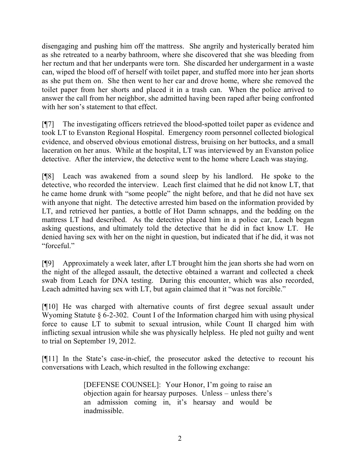disengaging and pushing him off the mattress. She angrily and hysterically berated him as she retreated to a nearby bathroom, where she discovered that she was bleeding from her rectum and that her underpants were torn. She discarded her undergarment in a waste can, wiped the blood off of herself with toilet paper, and stuffed more into her jean shorts as she put them on. She then went to her car and drove home, where she removed the toilet paper from her shorts and placed it in a trash can. When the police arrived to answer the call from her neighbor, she admitted having been raped after being confronted with her son's statement to that effect.

[¶7] The investigating officers retrieved the blood-spotted toilet paper as evidence and took LT to Evanston Regional Hospital. Emergency room personnel collected biological evidence, and observed obvious emotional distress, bruising on her buttocks, and a small laceration on her anus. While at the hospital, LT was interviewed by an Evanston police detective. After the interview, the detective went to the home where Leach was staying.

[¶8] Leach was awakened from a sound sleep by his landlord. He spoke to the detective, who recorded the interview. Leach first claimed that he did not know LT, that he came home drunk with "some people" the night before, and that he did not have sex with anyone that night. The detective arrested him based on the information provided by LT, and retrieved her panties, a bottle of Hot Damn schnapps, and the bedding on the mattress LT had described. As the detective placed him in a police car, Leach began asking questions, and ultimately told the detective that he did in fact know LT. He denied having sex with her on the night in question, but indicated that if he did, it was not "forceful."

[¶9] Approximately a week later, after LT brought him the jean shorts she had worn on the night of the alleged assault, the detective obtained a warrant and collected a cheek swab from Leach for DNA testing. During this encounter, which was also recorded, Leach admitted having sex with LT, but again claimed that it "was not forcible."

[¶10] He was charged with alternative counts of first degree sexual assault under Wyoming Statute § 6-2-302. Count I of the Information charged him with using physical force to cause LT to submit to sexual intrusion, while Count II charged him with inflicting sexual intrusion while she was physically helpless. He pled not guilty and went to trial on September 19, 2012.

[¶11] In the State's case-in-chief, the prosecutor asked the detective to recount his conversations with Leach, which resulted in the following exchange:

> [DEFENSE COUNSEL]: Your Honor, I'm going to raise an objection again for hearsay purposes. Unless – unless there's an admission coming in, it's hearsay and would be inadmissible.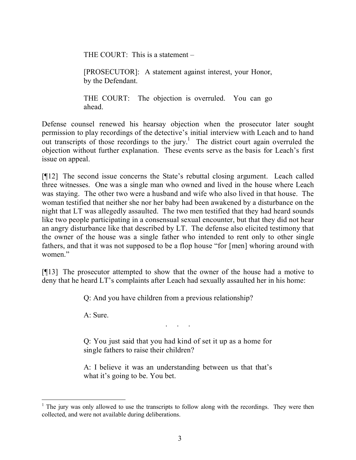THE COURT: This is a statement –

[PROSECUTOR]: A statement against interest, your Honor, by the Defendant.

THE COURT: The objection is overruled. You can go ahead.

Defense counsel renewed his hearsay objection when the prosecutor later sought permission to play recordings of the detective's initial interview with Leach and to hand out transcripts of those recordings to the jury.<sup>1</sup> The district court again overruled the objection without further explanation. These events serve as the basis for Leach's first issue on appeal.

[¶12] The second issue concerns the State's rebuttal closing argument. Leach called three witnesses. One was a single man who owned and lived in the house where Leach was staying. The other two were a husband and wife who also lived in that house. The woman testified that neither she nor her baby had been awakened by a disturbance on the night that LT was allegedly assaulted. The two men testified that they had heard sounds like two people participating in a consensual sexual encounter, but that they did not hear an angry disturbance like that described by LT. The defense also elicited testimony that the owner of the house was a single father who intended to rent only to other single fathers, and that it was not supposed to be a flop house "for [men] whoring around with women."

[¶13] The prosecutor attempted to show that the owner of the house had a motive to deny that he heard LT's complaints after Leach had sexually assaulted her in his home:

Q: And you have children from a previous relationship?

A: Sure.

Q: You just said that you had kind of set it up as a home for single fathers to raise their children?

. . . . .<br>. . . . . .

A: I believe it was an understanding between us that that's what it's going to be. You bet.

 $<sup>1</sup>$  The jury was only allowed to use the transcripts to follow along with the recordings. They were then</sup> collected, and were not available during deliberations.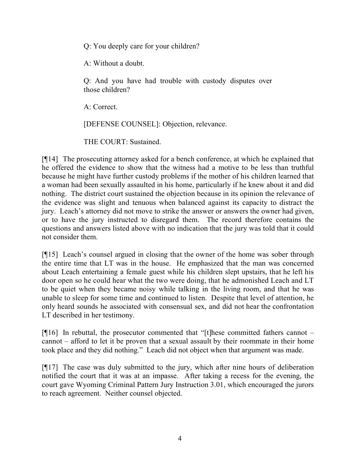Q: You deeply care for your children?

A: Without a doubt.

Q: And you have had trouble with custody disputes over those children?

A: Correct.

[DEFENSE COUNSEL]: Objection, relevance.

THE COURT: Sustained.

[¶14] The prosecuting attorney asked for a bench conference, at which he explained that he offered the evidence to show that the witness had a motive to be less than truthful because he might have further custody problems if the mother of his children learned that a woman had been sexually assaulted in his home, particularly if he knew about it and did nothing. The district court sustained the objection because in its opinion the relevance of the evidence was slight and tenuous when balanced against its capacity to distract the jury. Leach's attorney did not move to strike the answer or answers the owner had given, or to have the jury instructed to disregard them. The record therefore contains the questions and answers listed above with no indication that the jury was told that it could not consider them.

[¶15] Leach's counsel argued in closing that the owner of the home was sober through the entire time that LT was in the house. He emphasized that the man was concerned about Leach entertaining a female guest while his children slept upstairs, that he left his door open so he could hear what the two were doing, that he admonished Leach and LT to be quiet when they became noisy while talking in the living room, and that he was unable to sleep for some time and continued to listen. Despite that level of attention, he only heard sounds he associated with consensual sex, and did not hear the confrontation LT described in her testimony.

[ $[$ [16] In rebuttal, the prosecutor commented that "[t]hese committed fathers cannot – cannot – afford to let it be proven that a sexual assault by their roommate in their home took place and they did nothing." Leach did not object when that argument was made.

[¶17] The case was duly submitted to the jury, which after nine hours of deliberation notified the court that it was at an impasse. After taking a recess for the evening, the court gave Wyoming Criminal Pattern Jury Instruction 3.01, which encouraged the jurors to reach agreement. Neither counsel objected.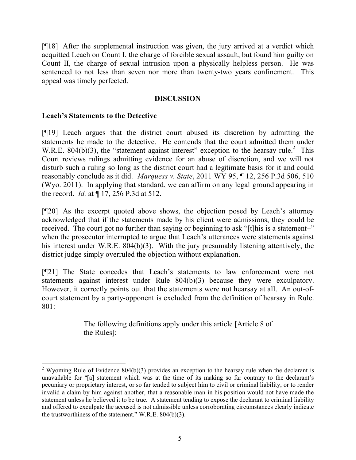[¶18] After the supplemental instruction was given, the jury arrived at a verdict which acquitted Leach on Count I, the charge of forcible sexual assault, but found him guilty on Count II, the charge of sexual intrusion upon a physically helpless person. He was sentenced to not less than seven nor more than twenty-two years confinement. This appeal was timely perfected.

### **DISCUSSION**

### **Leach's Statements to the Detective**

 $\overline{a}$ 

[¶19] Leach argues that the district court abused its discretion by admitting the statements he made to the detective. He contends that the court admitted them under W.R.E. 804(b)(3), the "statement against interest" exception to the hearsay rule.<sup>2</sup> This Court reviews rulings admitting evidence for an abuse of discretion, and we will not disturb such a ruling so long as the district court had a legitimate basis for it and could reasonably conclude as it did. *Marquess v. State*, 2011 WY 95, ¶ 12, 256 P.3d 506, 510 (Wyo. 2011). In applying that standard, we can affirm on any legal ground appearing in the record. *Id.* at ¶ 17, 256 P.3d at 512.

[¶20] As the excerpt quoted above shows, the objection posed by Leach's attorney acknowledged that if the statements made by his client were admissions, they could be received. The court got no further than saying or beginning to ask "[t]his is a statement-" when the prosecutor interrupted to argue that Leach's utterances were statements against his interest under W.R.E. 804(b)(3). With the jury presumably listening attentively, the district judge simply overruled the objection without explanation.

[¶21] The State concedes that Leach's statements to law enforcement were not statements against interest under Rule 804(b)(3) because they were exculpatory. However, it correctly points out that the statements were not hearsay at all. An out-ofcourt statement by a party-opponent is excluded from the definition of hearsay in Rule. 801:

> The following definitions apply under this article [Article 8 of the Rules]:

<sup>&</sup>lt;sup>2</sup> Wyoming Rule of Evidence 804(b)(3) provides an exception to the hearsay rule when the declarant is unavailable for "[a] statement which was at the time of its making so far contrary to the declarant's pecuniary or proprietary interest, or so far tended to subject him to civil or criminal liability, or to render invalid a claim by him against another, that a reasonable man in his position would not have made the statement unless he believed it to be true. A statement tending to expose the declarant to criminal liability and offered to exculpate the accused is not admissible unless corroborating circumstances clearly indicate the trustworthiness of the statement." W.R.E. 804(b)(3).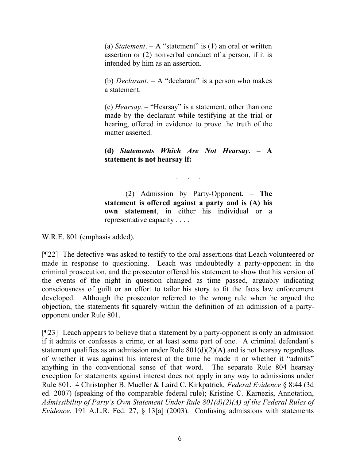(a) *Statement*.  $- A$  "statement" is (1) an oral or written assertion or (2) nonverbal conduct of a person, if it is intended by him as an assertion.

(b) *Declarant*. – A "declarant" is a person who makes a statement.

(c) *Hearsay*. – "Hearsay" is a statement, other than one made by the declarant while testifying at the trial or hearing, offered in evidence to prove the truth of the matter asserted.

**(d)** *Statements Which Are Not Hearsay***. – A statement is not hearsay if:**

. . . . .

(2) Admission by Party-Opponent. – **The statement is offered against a party and is (A) his own statement**, in either his individual or a representative capacity . . . .

W.R.E. 801 (emphasis added).

[¶22] The detective was asked to testify to the oral assertions that Leach volunteered or made in response to questioning. Leach was undoubtedly a party-opponent in the criminal prosecution, and the prosecutor offered his statement to show that his version of the events of the night in question changed as time passed, arguably indicating consciousness of guilt or an effort to tailor his story to fit the facts law enforcement developed. Although the prosecutor referred to the wrong rule when he argued the objection, the statements fit squarely within the definition of an admission of a partyopponent under Rule 801.

[¶23] Leach appears to believe that a statement by a party-opponent is only an admission if it admits or confesses a crime, or at least some part of one. A criminal defendant's statement qualifies as an admission under Rule  $801(d)(2)(A)$  and is not hearsay regardless of whether it was against his interest at the time he made it or whether it "admits" anything in the conventional sense of that word. The separate Rule 804 hearsay exception for statements against interest does not apply in any way to admissions under Rule 801. 4 Christopher B. Mueller & Laird C. Kirkpatrick, *Federal Evidence* § 8:44 (3d ed. 2007) (speaking of the comparable federal rule); Kristine C. Karnezis, Annotation, *Admissibility of Party's Own Statement Under Rule 801(d)(2)(A) of the Federal Rules of Evidence*, 191 A.L.R. Fed. 27, § 13[a] (2003). Confusing admissions with statements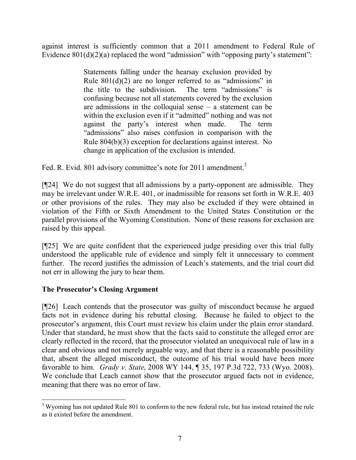against interest is sufficiently common that a 2011 amendment to Federal Rule of Evidence  $801(d)(2)(a)$  replaced the word "admission" with "opposing party's statement":

> Statements falling under the hearsay exclusion provided by Rule  $801(d)(2)$  are no longer referred to as "admissions" in the title to the subdivision. The term "admissions" is confusing because not all statements covered by the exclusion are admissions in the colloquial sense – a statement can be within the exclusion even if it "admitted" nothing and was not against the party's interest when made. The term "admissions" also raises confusion in comparison with the Rule 804(b)(3) exception for declarations against interest. No change in application of the exclusion is intended.

Fed. R. Evid. 801 advisory committee's note for 2011 amendment.<sup>3</sup>

[¶24] We do not suggest that all admissions by a party-opponent are admissible. They may be irrelevant under W.R.E. 401, or inadmissible for reasons set forth in W.R.E. 403 or other provisions of the rules. They may also be excluded if they were obtained in violation of the Fifth or Sixth Amendment to the United States Constitution or the parallel provisions of the Wyoming Constitution. None of these reasons for exclusion are raised by this appeal.

[¶25] We are quite confident that the experienced judge presiding over this trial fully understood the applicable rule of evidence and simply felt it unnecessary to comment further. The record justifies the admission of Leach's statements, and the trial court did not err in allowing the jury to hear them.

# **The Prosecutor's Closing Argument**

[¶26] Leach contends that the prosecutor was guilty of misconduct because he argued facts not in evidence during his rebuttal closing. Because he failed to object to the prosecutor's argument, this Court must review his claim under the plain error standard. Under that standard, he must show that the facts said to constitute the alleged error are clearly reflected in the record, that the prosecutor violated an unequivocal rule of law in a clear and obvious and not merely arguable way, and that there is a reasonable possibility that, absent the alleged misconduct, the outcome of his trial would have been more favorable to him. *Grady v. State*, 2008 WY 144, ¶ 35, 197 P.3d 722, 733 (Wyo. 2008). We conclude that Leach cannot show that the prosecutor argued facts not in evidence, meaning that there was no error of law.

 $3$  Wyoming has not updated Rule 801 to conform to the new federal rule, but has instead retained the rule as it existed before the amendment.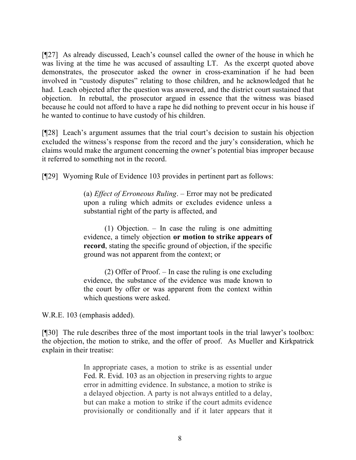[¶27] As already discussed, Leach's counsel called the owner of the house in which he was living at the time he was accused of assaulting LT. As the excerpt quoted above demonstrates, the prosecutor asked the owner in cross-examination if he had been involved in "custody disputes" relating to those children, and he acknowledged that he had. Leach objected after the question was answered, and the district court sustained that objection. In rebuttal, the prosecutor argued in essence that the witness was biased because he could not afford to have a rape he did nothing to prevent occur in his house if he wanted to continue to have custody of his children.

[¶28] Leach's argument assumes that the trial court's decision to sustain his objection excluded the witness's response from the record and the jury's consideration, which he claims would make the argument concerning the owner's potential bias improper because it referred to something not in the record.

[¶29] Wyoming Rule of Evidence 103 provides in pertinent part as follows:

(a) *Effect of Erroneous Ruling*. – Error may not be predicated upon a ruling which admits or excludes evidence unless a substantial right of the party is affected, and

(1) Objection. – In case the ruling is one admitting evidence, a timely objection **or motion to strike appears of record**, stating the specific ground of objection, if the specific ground was not apparent from the context; or

(2) Offer of Proof. – In case the ruling is one excluding evidence, the substance of the evidence was made known to the court by offer or was apparent from the context within which questions were asked.

W.R.E. 103 (emphasis added).

[¶30] The rule describes three of the most important tools in the trial lawyer's toolbox: the objection, the motion to strike, and the offer of proof. As Mueller and Kirkpatrick explain in their treatise:

> In appropriate cases, a motion to strike is as essential under Fed. R. Evid. 103 as an objection in preserving rights to argue error in admitting evidence. In substance, a motion to strike is a delayed objection. A party is not always entitled to a delay, but can make a motion to strike if the court admits evidence provisionally or conditionally and if it later appears that it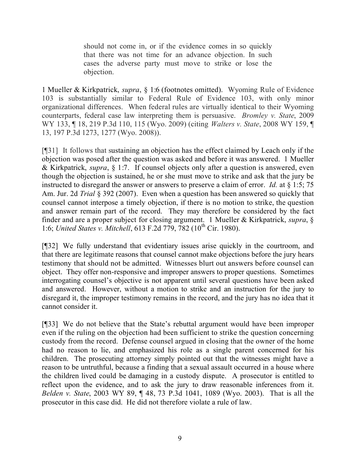should not come in, or if the evidence comes in so quickly that there was not time for an advance objection. In such cases the adverse party must move to strike or lose the objection.

1 Mueller & Kirkpatrick, *supra*, § 1:6 (footnotes omitted). Wyoming Rule of Evidence 103 is substantially similar to Federal Rule of Evidence 103, with only minor organizational differences. When federal rules are virtually identical to their Wyoming counterparts, federal case law interpreting them is persuasive. *Bromley v. State*, 2009 WY 133, ¶ 18, 219 P.3d 110, 115 (Wyo. 2009) (citing *Walters v. State*, 2008 WY 159, ¶ 13, 197 P.3d 1273, 1277 (Wyo. 2008)).

[¶31] It follows that sustaining an objection has the effect claimed by Leach only if the objection was posed after the question was asked and before it was answered. 1 Mueller & Kirkpatrick, *supra*, § 1:7. If counsel objects only after a question is answered, even though the objection is sustained, he or she must move to strike and ask that the jury be instructed to disregard the answer or answers to preserve a claim of error. *Id.* at § 1:5; 75 Am. Jur. 2d *Trial* § 392 (2007). Even when a question has been answered so quickly that counsel cannot interpose a timely objection, if there is no motion to strike, the question and answer remain part of the record. They may therefore be considered by the fact finder and are a proper subject for closing argument. 1 Mueller & Kirkpatrick, *supra*, § 1:6; *United States v. Mitchell*, 613 F.2d 779, 782 (10<sup>th</sup> Cir. 1980).

[¶32] We fully understand that evidentiary issues arise quickly in the courtroom, and that there are legitimate reasons that counsel cannot make objections before the jury hears testimony that should not be admitted. Witnesses blurt out answers before counsel can object. They offer non-responsive and improper answers to proper questions. Sometimes interrogating counsel's objective is not apparent until several questions have been asked and answered. However, without a motion to strike and an instruction for the jury to disregard it, the improper testimony remains in the record, and the jury has no idea that it cannot consider it.

[¶33] We do not believe that the State's rebuttal argument would have been improper even if the ruling on the objection had been sufficient to strike the question concerning custody from the record. Defense counsel argued in closing that the owner of the home had no reason to lie, and emphasized his role as a single parent concerned for his children. The prosecuting attorney simply pointed out that the witnesses might have a reason to be untruthful, because a finding that a sexual assault occurred in a house where the children lived could be damaging in a custody dispute. A prosecutor is entitled to reflect upon the evidence, and to ask the jury to draw reasonable inferences from it. *Belden v. State*, 2003 WY 89, ¶ 48, 73 P.3d 1041, 1089 (Wyo. 2003). That is all the prosecutor in this case did. He did not therefore violate a rule of law.